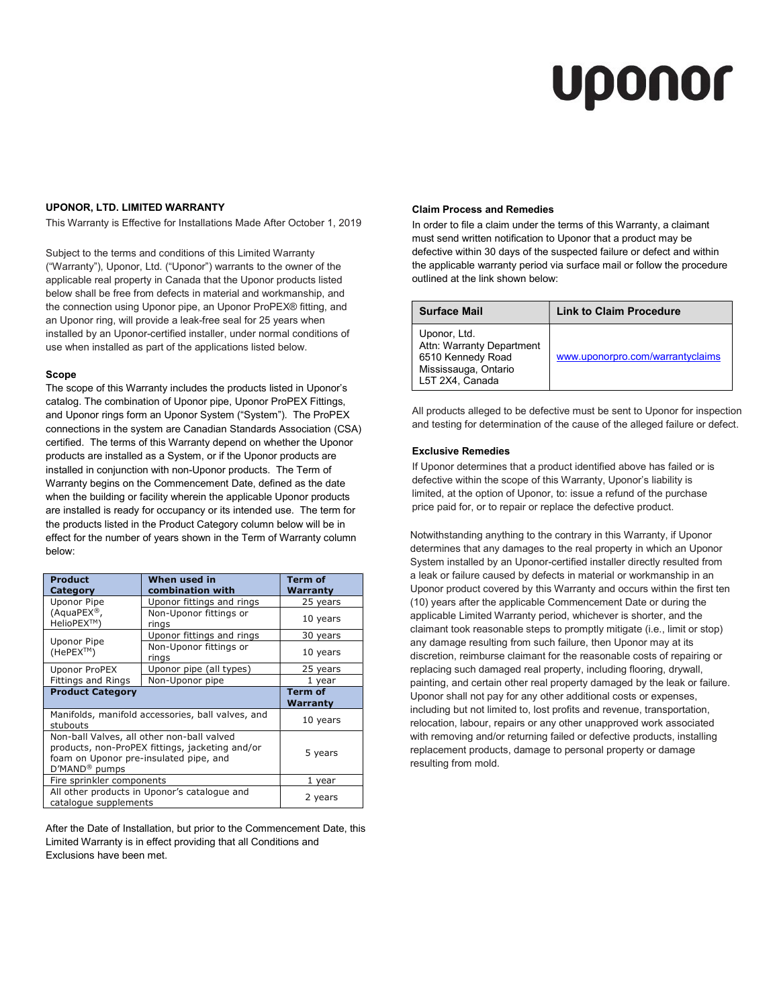# Uponor

## UPONOR, LTD. LIMITED WARRANTY

This Warranty is Effective for Installations Made After October 1, 2019

Subject to the terms and conditions of this Limited Warranty ("Warranty"), Uponor, Ltd. ("Uponor") warrants to the owner of the applicable real property in Canada that the Uponor products listed below shall be free from defects in material and workmanship, and the connection using Uponor pipe, an Uponor ProPEX® fitting, and an Uponor ring, will provide a leak-free seal for 25 years when installed by an Uponor-certified installer, under normal conditions of use when installed as part of the applications listed below.

#### Scope

The scope of this Warranty includes the products listed in Uponor's catalog. The combination of Uponor pipe, Uponor ProPEX Fittings, and Uponor rings form an Uponor System ("System"). The ProPEX connections in the system are Canadian Standards Association (CSA) certified. The terms of this Warranty depend on whether the Uponor products are installed as a System, or if the Uponor products are installed in conjunction with non-Uponor products. The Term of Warranty begins on the Commencement Date, defined as the date when the building or facility wherein the applicable Uponor products are installed is ready for occupancy or its intended use. The term for the products listed in the Product Category column below will be in effect for the number of years shown in the Term of Warranty column below:

| <b>Product</b><br>Category                                                                                                                                           | When used in<br>combination with | Term of<br>Warranty        |
|----------------------------------------------------------------------------------------------------------------------------------------------------------------------|----------------------------------|----------------------------|
| <b>Uponor Pipe</b>                                                                                                                                                   | Uponor fittings and rings        | 25 years                   |
| (AquaPEX®,<br>HelioPEX™)                                                                                                                                             | Non-Uponor fittings or<br>rings  | 10 years                   |
| Uponor Pipe<br>(HePEX™)                                                                                                                                              | Uponor fittings and rings        | 30 years                   |
|                                                                                                                                                                      | Non-Uponor fittings or<br>rings  | 10 years                   |
| Uponor ProPEX                                                                                                                                                        | Uponor pipe (all types)          | 25 years                   |
| Fittings and Rings                                                                                                                                                   | Non-Uponor pipe                  | 1 year                     |
| <b>Product Category</b>                                                                                                                                              |                                  | <b>Term of</b><br>Warranty |
| Manifolds, manifold accessories, ball valves, and<br>stubouts                                                                                                        |                                  | 10 years                   |
| Non-ball Valves, all other non-ball valved<br>products, non-ProPEX fittings, jacketing and/or<br>foam on Uponor pre-insulated pipe, and<br>D'MAND <sup>®</sup> pumps |                                  | 5 years                    |
| Fire sprinkler components                                                                                                                                            |                                  | 1 year                     |
| All other products in Uponor's catalogue and<br>catalogue supplements                                                                                                |                                  | 2 years                    |

After the Date of Installation, but prior to the Commencement Date, this Limited Warranty is in effect providing that all Conditions and Exclusions have been met.

#### Claim Process and Remedies

In order to file a claim under the terms of this Warranty, a claimant must send written notification to Uponor that a product may be defective within 30 days of the suspected failure or defect and within the applicable warranty period via surface mail or follow the procedure outlined at the link shown below:

| <b>Surface Mail</b>                                                                                       | <b>Link to Claim Procedure</b>   |
|-----------------------------------------------------------------------------------------------------------|----------------------------------|
| Uponor, Ltd.<br>Attn: Warranty Department<br>6510 Kennedy Road<br>Mississauga, Ontario<br>L5T 2X4, Canada | www.uponorpro.com/warrantyclaims |

All products alleged to be defective must be sent to Uponor for inspection and testing for determination of the cause of the alleged failure or defect.

## Exclusive Remedies

If Uponor determines that a product identified above has failed or is defective within the scope of this Warranty, Uponor's liability is limited, at the option of Uponor, to: issue a refund of the purchase price paid for, or to repair or replace the defective product.

Notwithstanding anything to the contrary in this Warranty, if Uponor determines that any damages to the real property in which an Uponor System installed by an Uponor-certified installer directly resulted from a leak or failure caused by defects in material or workmanship in an Uponor product covered by this Warranty and occurs within the first ten (10) years after the applicable Commencement Date or during the applicable Limited Warranty period, whichever is shorter, and the claimant took reasonable steps to promptly mitigate (i.e., limit or stop) any damage resulting from such failure, then Uponor may at its discretion, reimburse claimant for the reasonable costs of repairing or replacing such damaged real property, including flooring, drywall, painting, and certain other real property damaged by the leak or failure. Uponor shall not pay for any other additional costs or expenses, including but not limited to, lost profits and revenue, transportation, relocation, labour, repairs or any other unapproved work associated with removing and/or returning failed or defective products, installing replacement products, damage to personal property or damage resulting from mold.